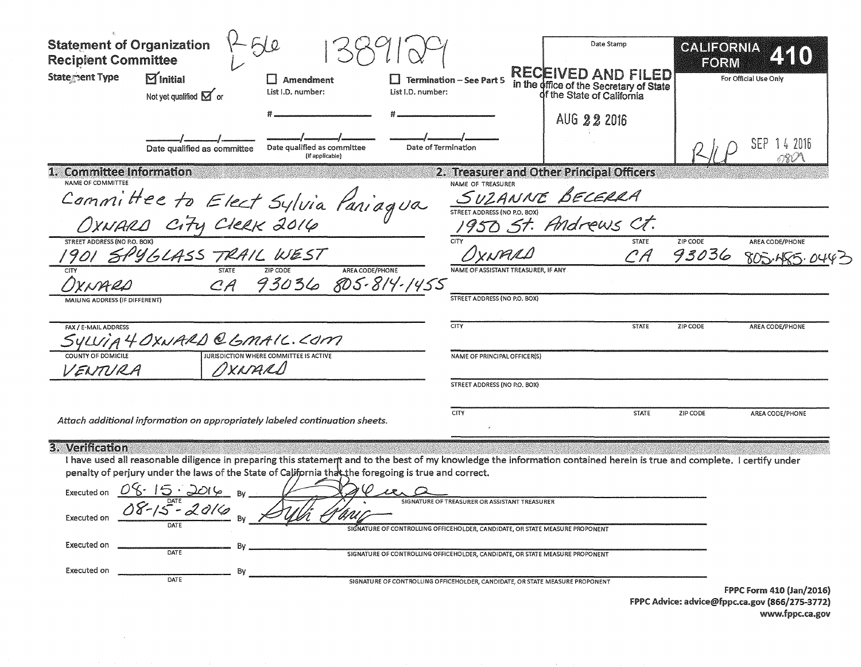| <b>Statement of Organization</b><br><b>Recipient Committee</b><br>Statement Type<br>$\mathbf{M}_{\text{Initial}}$<br>$\Box$ Amendment<br>List I.D. number:<br>List I.D. number:<br>Not yet qualified $\mathbf{\Sigma}$ or                                                                                                                                              | I Termination - See Part 5                                                                                                                                   | Date Stamp<br><b>RECEIVED AND FILED</b><br>in the office of the Secretary of State<br>of the State of California | <b>GALIFORNIA</b><br>EORM | For Official Use Only           |
|------------------------------------------------------------------------------------------------------------------------------------------------------------------------------------------------------------------------------------------------------------------------------------------------------------------------------------------------------------------------|--------------------------------------------------------------------------------------------------------------------------------------------------------------|------------------------------------------------------------------------------------------------------------------|---------------------------|---------------------------------|
| Date of Termination<br>Date qualified as committee<br>Date qualified as committee<br>(If applicable)                                                                                                                                                                                                                                                                   |                                                                                                                                                              | AUG 22 2016                                                                                                      |                           | SEP<br>-1 4 2016                |
| <b>Committee Information</b><br>1.<br>NAME OF COMMITTEE<br>Committee to Elect Sylvia Paniagua                                                                                                                                                                                                                                                                          | NAME OF TREASURER                                                                                                                                            | 2. Treasurer and Other Principal Officers<br>SUZANNE BECERRA                                                     |                           |                                 |
| 1901 SPYGLASS TRAIL WEST<br><b>STATE</b><br>AREA CODE/PHONE<br>CA 93036 805-814-1455                                                                                                                                                                                                                                                                                   | CITY<br>NAME OF ASSISTANT TREASURER, IF ANY                                                                                                                  | <b>STATE</b><br>CA                                                                                               | <b>ZIP CODE</b><br>93036  | AREA CODE/PHONE<br>805.455.0    |
| VIAILING ADDRESS (IF DIFFERENT)<br>FAX / E-MAIL ADDRESS<br>SYLVIA 4 OXNARD @ GMAIC. COM<br><b>JURISDICTION WHERE COMMITTEE IS ACTIVE</b>                                                                                                                                                                                                                               | STREET ADDRESS (NO P.O. BOX)<br><b>CITY</b><br>NAME OF PRINCIPAL OFFICER(S)                                                                                  | <b>STATE</b>                                                                                                     | ZIP CODE                  | AREA CODE/PHONE                 |
| MXNARD<br>VENTURA<br>Attach additional information on appropriately labeled continuation sheets.                                                                                                                                                                                                                                                                       | STREET ADDRESS (NO P.O. BOX)<br><b>CITY</b>                                                                                                                  | <b>STATE</b>                                                                                                     | ZIP CODE                  | AREA CODE/PHONE                 |
| 3. Verification<br>I have used all reasonable diligence in preparing this statemerit and to the best of my knowledge the information contained herein is true and complete. I certify under<br>penalty of perjury under the laws of the State of California that the foregoing is true and correct.<br>$rac{08.15.2016}{08.15.2016}$ By.<br>Executed on<br>Executed on | SIGNATURE OF TREASURER OR ASSISTANT TREASURER<br>SIGNATURE OF CONTROLLING OFFICEHOLDER, CANDIDATE, OR STATE MEASURE PROPONENT                                |                                                                                                                  |                           |                                 |
| Executed on<br>Bv<br>DATE<br>Executed on<br>By<br>DATE                                                                                                                                                                                                                                                                                                                 | SIGNATURE OF CONTROLLING OFFICEHOLDER, CANDIDATE, OR STATE MEASURE PROPONENT<br>SIGNATURE OF CONTROLLING OFFICEHOLDER, CANDIDATE, OR STATE MEASURE PROPONENT |                                                                                                                  |                           | <b>FPPC Form 410 (Jan/2016)</b> |

 $\sim 10^7$ 

FPPC Advice: advice@fppc.ca.gov (866/275-3772) www.fppc.ca.gov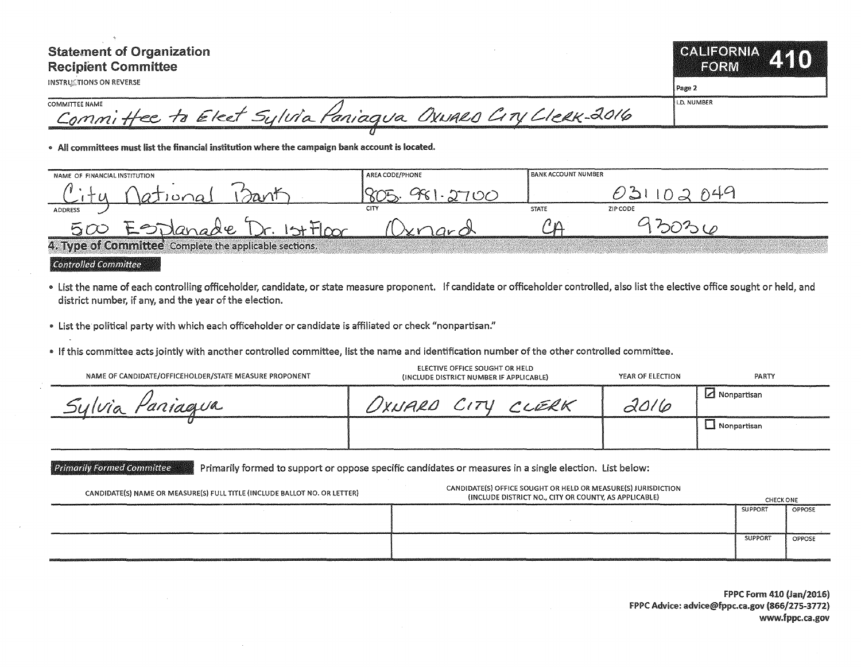# **Statement of Organization Recipient Committee**

**INSTRUCTIONS ON REVERSE** 

CALIFORNIA ETO) EORM

Page 2

**COMMITTEE NAME** Committee to Elect Sylvia Paniagua Oxward City Llerx-2016

. All committees must list the financial institution where the campaign bank account is located.

| NAME OF FINANCIAL INSTITUTION                          | AREA CODE/PHONE | <b>BANK ACCOUNT NUMBER</b> |          |  |
|--------------------------------------------------------|-----------------|----------------------------|----------|--|
|                                                        |                 |                            |          |  |
| ADDRESS<br>w                                           | CITY            | <b>STATE</b>               | ZIP CODE |  |
| $-$ Ulangar                                            | حلحه            |                            |          |  |
| 4. Tyne of Committee, Complete the applicable sections |                 |                            |          |  |

**Controlled Committee** 

- List the name of each controlling officeholder, candidate, or state measure proponent. If candidate or officeholder controlled, also list the elective office sought or held, and district number, if any, and the year of the election.
- List the political party with which each officeholder or candidate is affiliated or check "nonpartisan."
- . If this committee acts jointly with another controlled committee, list the name and identification number of the other controlled committee.

| NAME OF CANDIDATE/OFFICEHOLDER/STATE MEASURE PROPONENT | ELECTIVE OFFICE SOUGHT OR HELD<br>(INCLUDE DISTRICT NUMBER IF APPLICABLE) | YEAR OF ELECTION | PARTY         |
|--------------------------------------------------------|---------------------------------------------------------------------------|------------------|---------------|
| Paniagua<br>SU(10a)                                    | UXNARD CITY<br>CLERK                                                      | 2016             | ⊿ Nonpartisan |
|                                                        |                                                                           |                  | U Nonpartisan |

**Primarily Formed Committee** Primarily formed to support or oppose specific candidates or measures in a single election. List below:

| CANDIDATE(S) NAME OR MEASURE(S) FULL TITLE (INCLUDE BALLOT NO. OR LETTER)                                                                                                                                                      | CANDIDATE(S) OFFICE SOUGHT OR HELD OR MEASURE(S) JURISDICTION<br>(INCLUDE DISTRICT NO., CITY OR COUNTY, AS APPLICABLE) |         |        |
|--------------------------------------------------------------------------------------------------------------------------------------------------------------------------------------------------------------------------------|------------------------------------------------------------------------------------------------------------------------|---------|--------|
|                                                                                                                                                                                                                                |                                                                                                                        | SUPPOR  | OPPOSE |
| on and nonsensively include the consensus property and property and constituted at high C-th 2000/00201 home property and advertising the second constitution of the Second Constitution of the Second Constitution of the Sec |                                                                                                                        | SUPPORT | OPPOSE |

**FPPC Form 410 (Jan/2016)** FPPC Advice: advice@fppc.ca.gov (866/275-3772) www.fppc.ca.gov

**I.D. NUMBER**